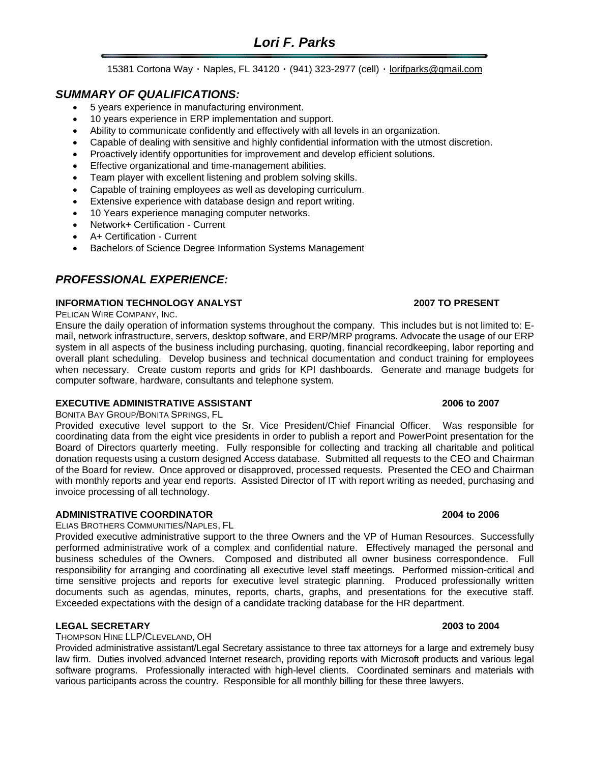# *Lori F. Parks*

15381 Cortona Way ٠ Naples, FL 34120 ٠ (941) 323-2977 (cell) ٠ [lorifparks@gmail.com](mailto:lorifparks@gmail.com)

# *SUMMARY OF QUALIFICATIONS:*

- 5 years experience in manufacturing environment.
- 10 years experience in ERP implementation and support.
- Ability to communicate confidently and effectively with all levels in an organization.
- Capable of dealing with sensitive and highly confidential information with the utmost discretion.
- Proactively identify opportunities for improvement and develop efficient solutions.
- Effective organizational and time-management abilities.
- Team player with excellent listening and problem solving skills.
- Capable of training employees as well as developing curriculum.
- Extensive experience with database design and report writing.
- 10 Years experience managing computer networks.
- Network+ Certification Current
- A+ Certification Current
- Bachelors of Science Degree Information Systems Management

# *PROFESSIONAL EXPERIENCE:*

#### **INFORMATION TECHNOLOGY ANALYST 2007 TO PRESENT**

PELICAN WIRE COMPANY, INC.

Ensure the daily operation of information systems throughout the company. This includes but is not limited to: Email, network infrastructure, servers, desktop software, and ERP/MRP programs. Advocate the usage of our ERP system in all aspects of the business including purchasing, quoting, financial recordkeeping, labor reporting and overall plant scheduling. Develop business and technical documentation and conduct training for employees when necessary. Create custom reports and grids for KPI dashboards. Generate and manage budgets for computer software, hardware, consultants and telephone system.

#### **EXECUTIVE ADMINISTRATIVE ASSISTANT 2006 to 2007**

BONITA BAY GROUP/BONITA SPRINGS, FL

Provided executive level support to the Sr. Vice President/Chief Financial Officer. Was responsible for coordinating data from the eight vice presidents in order to publish a report and PowerPoint presentation for the Board of Directors quarterly meeting. Fully responsible for collecting and tracking all charitable and political donation requests using a custom designed Access database. Submitted all requests to the CEO and Chairman of the Board for review. Once approved or disapproved, processed requests. Presented the CEO and Chairman with monthly reports and year end reports. Assisted Director of IT with report writing as needed, purchasing and invoice processing of all technology.

### **ADMINISTRATIVE COORDINATOR 2004 to 2006**

ELIAS BROTHERS COMMUNITIES/NAPLES, FL

Provided executive administrative support to the three Owners and the VP of Human Resources. Successfully performed administrative work of a complex and confidential nature. Effectively managed the personal and business schedules of the Owners. Composed and distributed all owner business correspondence. Full responsibility for arranging and coordinating all executive level staff meetings. Performed mission-critical and time sensitive projects and reports for executive level strategic planning. Produced professionally written documents such as agendas, minutes, reports, charts, graphs, and presentations for the executive staff. Exceeded expectations with the design of a candidate tracking database for the HR department.

### **LEGAL SECRETARY 2003 to 2004**

THOMPSON HINE LLP/CLEVELAND, OH

Provided administrative assistant/Legal Secretary assistance to three tax attorneys for a large and extremely busy law firm. Duties involved advanced Internet research, providing reports with Microsoft products and various legal software programs. Professionally interacted with high-level clients. Coordinated seminars and materials with various participants across the country. Responsible for all monthly billing for these three lawyers.